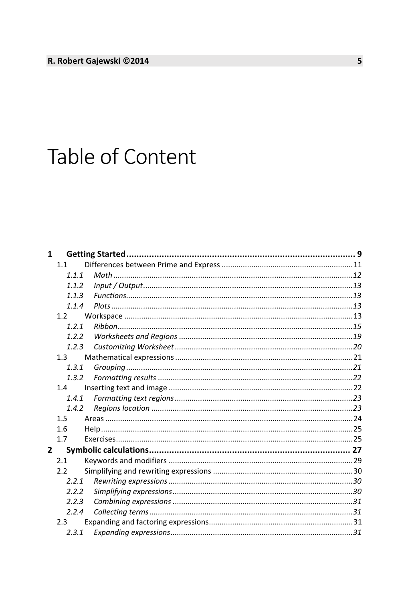## Table of Content

| $\mathbf{1}$ |         |  |
|--------------|---------|--|
|              | 1.1     |  |
|              | 1.1.1   |  |
|              | 1.1.2   |  |
|              | 113     |  |
|              | 1.1.4   |  |
|              | 1.2     |  |
|              | 1.2.1   |  |
|              | 1.2.2   |  |
|              | 1.2.3   |  |
|              | $1.3 -$ |  |
|              | 1.3.1   |  |
|              | 1.3.2   |  |
|              | 1.4     |  |
|              | 1.4.1   |  |
|              | 1.4.2   |  |
|              | 1.5     |  |
|              | 1.6     |  |
|              | 1.7     |  |
| $\mathbf{2}$ |         |  |
|              | 2.1     |  |
|              | 2.2     |  |
|              | 2.2.1   |  |
|              | 2.2.2   |  |
|              | 2.2.3   |  |
|              | 2.2.4   |  |
|              | 2.3     |  |
|              | 2.3.1   |  |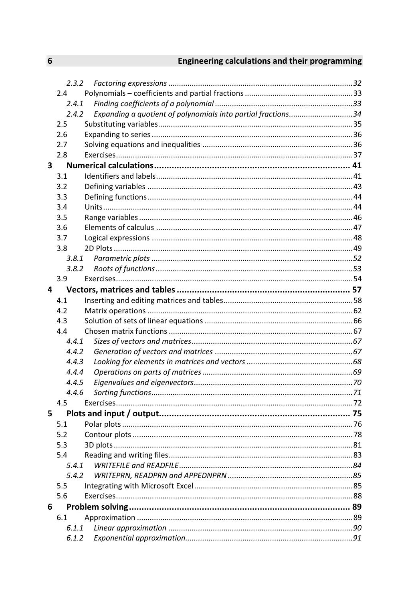## Engineering calculations and their programming

|   | 2.3.2                                                                 |  |  |
|---|-----------------------------------------------------------------------|--|--|
|   | 2.4                                                                   |  |  |
|   | 2.4.1                                                                 |  |  |
|   | Expanding a quotient of polynomials into partial fractions34<br>2.4.2 |  |  |
|   | 2.5                                                                   |  |  |
|   | 2.6                                                                   |  |  |
|   | 2.7                                                                   |  |  |
|   | 2.8                                                                   |  |  |
| 3 |                                                                       |  |  |
|   | 3.1                                                                   |  |  |
|   | 3.2                                                                   |  |  |
|   | 3.3                                                                   |  |  |
|   | 3.4                                                                   |  |  |
|   | 3.5                                                                   |  |  |
|   | 3.6                                                                   |  |  |
|   | 3.7                                                                   |  |  |
|   | 3.8                                                                   |  |  |
|   | 3.8.1                                                                 |  |  |
|   | 3.8.2                                                                 |  |  |
|   | 3.9                                                                   |  |  |
| 4 |                                                                       |  |  |
|   | 4.1                                                                   |  |  |
|   | 4.2                                                                   |  |  |
|   | 4.3                                                                   |  |  |
|   | 4.4                                                                   |  |  |
|   | 4.4.1                                                                 |  |  |
|   | 4.4.2                                                                 |  |  |
|   | 4.4.3                                                                 |  |  |
|   | 4.4.4                                                                 |  |  |
|   | 4.4.5                                                                 |  |  |
|   | 4.4.6                                                                 |  |  |
|   | 4.5                                                                   |  |  |
| 5 |                                                                       |  |  |
|   | 5.1                                                                   |  |  |
|   | 5.2                                                                   |  |  |
|   | 5.3                                                                   |  |  |
|   | 5.4                                                                   |  |  |
|   | 5.4.1                                                                 |  |  |
|   | 5.4.2                                                                 |  |  |
|   | 5.5                                                                   |  |  |
|   | 5.6                                                                   |  |  |
| 6 |                                                                       |  |  |
|   | 6.1                                                                   |  |  |
|   | 6.1.1                                                                 |  |  |
|   | 6.1.2                                                                 |  |  |
|   |                                                                       |  |  |

 $6\overline{6}$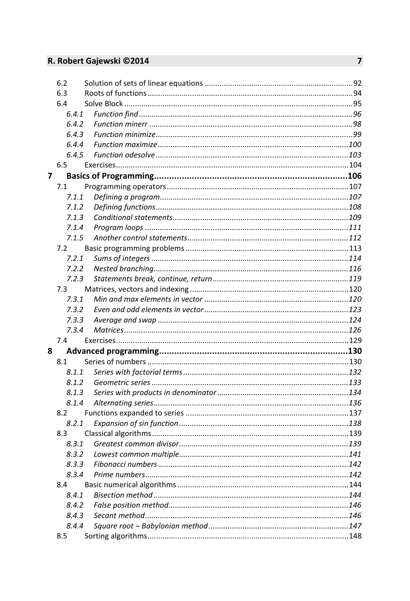## R. Robert Gajewski ©2014

|   | 6.2   |  |
|---|-------|--|
|   | 6.3   |  |
|   | 6.4   |  |
|   | 6.4.1 |  |
|   | 6.4.2 |  |
|   | 6.4.3 |  |
|   | 6.4.4 |  |
|   | 6.4.5 |  |
|   | 6.5   |  |
| 7 |       |  |
|   | 7.1   |  |
|   | 7.1.1 |  |
|   | 7.1.2 |  |
|   | 7.1.3 |  |
|   | 7.1.4 |  |
|   | 7.1.5 |  |
|   | 7.2   |  |
|   | 7.2.1 |  |
|   | 7.2.2 |  |
|   | 7.2.3 |  |
|   | 7.3   |  |
|   | 7.3.1 |  |
|   | 7.3.2 |  |
|   | 7.3.3 |  |
|   | 7.3.4 |  |
|   | 7.4   |  |
| 8 |       |  |
|   | 8.1   |  |
|   | 8.1.1 |  |
|   | 8.1.2 |  |
|   | 8.1.3 |  |
|   | 8.1.4 |  |
|   | 8.2   |  |
|   | 8.2.1 |  |
|   | 8.3   |  |
|   | 8.3.1 |  |
|   | 8.3.2 |  |
|   | 8.3.3 |  |
|   | 8.3.4 |  |
|   | 8.4   |  |
|   | 8.4.1 |  |
|   | 8.4.2 |  |
|   | 8.4.3 |  |
|   | 8.4.4 |  |
|   | 8.5   |  |
|   |       |  |

 $\overline{7}$